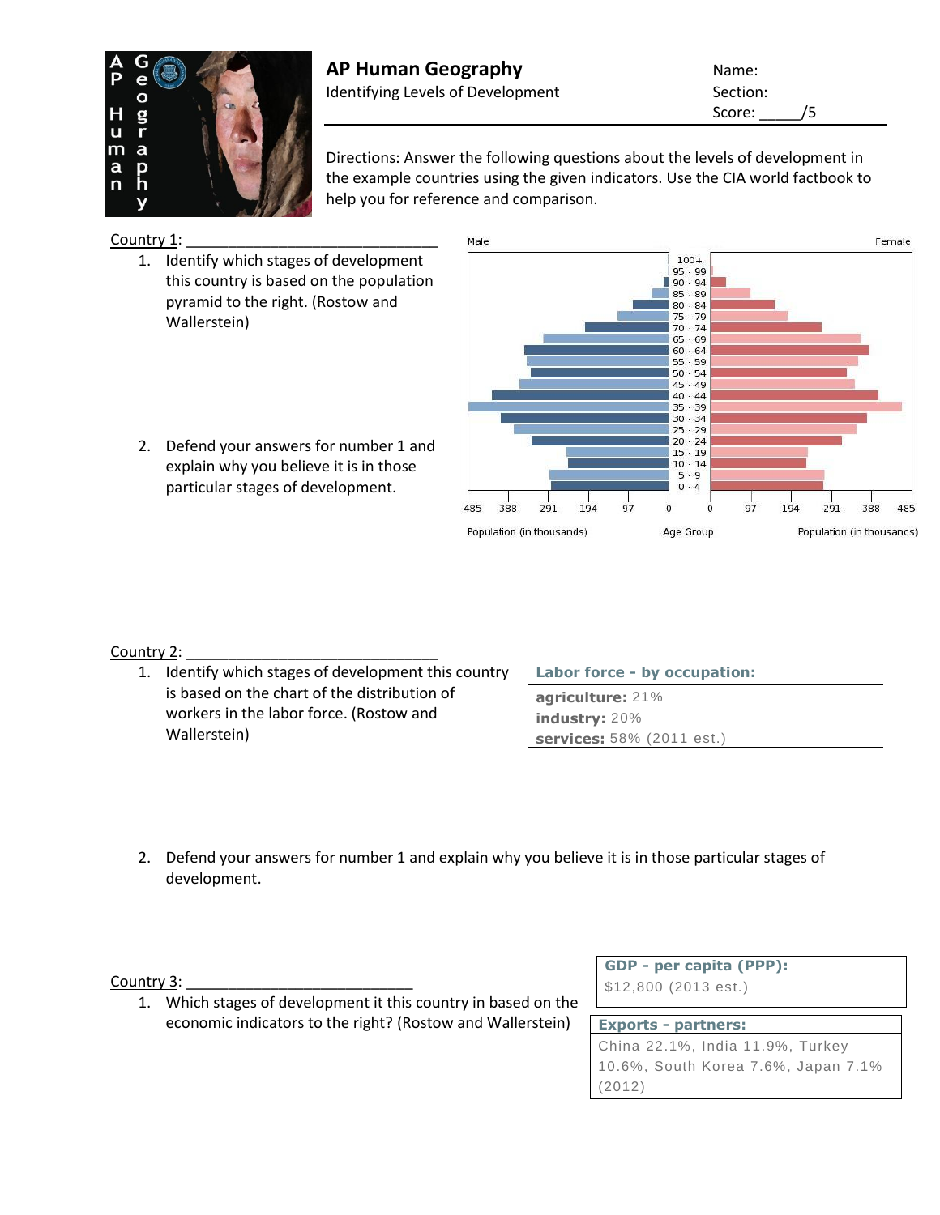

# **AP Human Geography Name:** Name: Identifying Levels of Development Section:

Score: /5

Directions: Answer the following questions about the levels of development in the example countries using the given indicators. Use the CIA world factbook to help you for reference and comparison.

Country 1:

- 1. Identify which stages of development this country is based on the population pyramid to the right. (Rostow and Wallerstein)
- 2. Defend your answers for number 1 and explain why you believe it is in those particular stages of development.



# Country 2:

1. Identify which stages of development this country is based on the chart of the distribution of workers in the labor force. (Rostow and Wallerstein)

| Labor force - by occupation: |  |  |  |
|------------------------------|--|--|--|
| agriculture: 21%             |  |  |  |
| industry: $20\%$             |  |  |  |
| services: 58% (2011 est.)    |  |  |  |

2. Defend your answers for number 1 and explain why you believe it is in those particular stages of development.

Country 3:

1. Which stages of development it this country in based on the economic indicators to the right? (Rostow and Wallerstein)

**GDP - [per capita \(PPP\):](https://www.cia.gov/library/publications/the-world-factbook/docs/notesanddefs.html?fieldkey=2004&alphaletter=G&term=GDP%20-%20per%20capita%20(PPP))**

\$12,800 (2013 est.)

# **Exports - [partners:](https://www.cia.gov/library/publications/the-world-factbook/docs/notesanddefs.html?fieldkey=2050&alphaletter=E&term=Exports%20-%20partners)** China 22.1%, India 11.9%, Turkey 10.6%, South Korea 7.6%, Japan 7.1% (2012)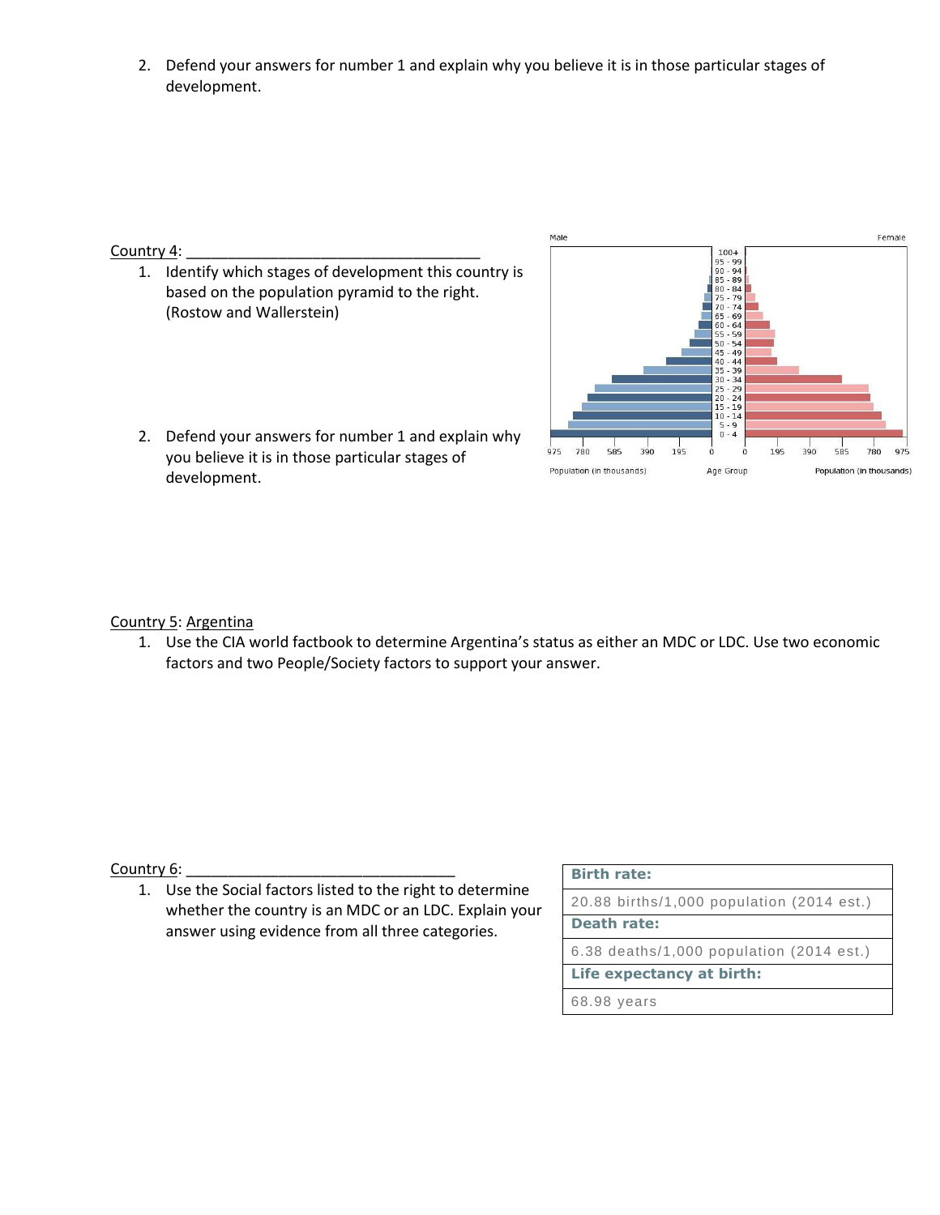2. Defend your answers for number 1 and explain why you believe it is in those particular stages of development.

### Country 4:

1. Identify which stages of development this country is based on the population pyramid to the right. (Rostow and Wallerstein)



2. Defend your answers for number 1 and explain why you believe it is in those particular stages of development.

# Country 5: Argentina

1. Use the CIA world factbook to determine Argentina's status as either an MDC or LDC. Use two economic factors and two People/Society factors to support your answer.

#### Country 6:

1. Use the Social factors listed to the right to determine whether the country is an MDC or an LDC. Explain your answer using evidence from all three categories.

#### **[Birth rate:](https://www.cia.gov/library/publications/the-world-factbook/docs/notesanddefs.html?fieldkey=2054&alphaletter=B&term=Birth%20rate)**

20.88 births/1,000 population (2014 est.) **[Death rate:](https://www.cia.gov/library/publications/the-world-factbook/docs/notesanddefs.html?fieldkey=2066&alphaletter=D&term=Death%20rate)** 6.38 deaths/1,000 population (2014 est.) **[Life expectancy at birth:](https://www.cia.gov/library/publications/the-world-factbook/docs/notesanddefs.html?fieldkey=2102&alphaletter=L&term=Life%20expectancy%20at%20birth)** 68.98 years